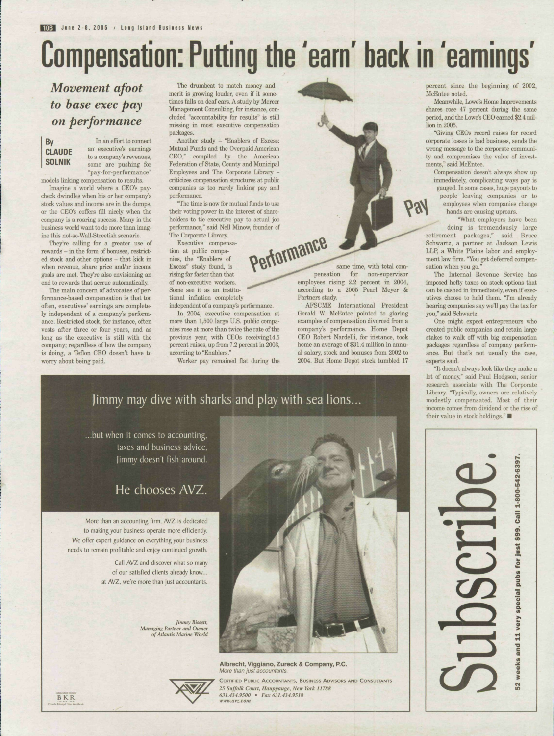## **Compensation: Putting the 'earn' back in 'earnings'**

*Movement afoot to base exec pay on performance*

## By **CLAUDE** SOLNIK

In an effort to connect an executive's earning to a company's revenues, some are pushing for "pay-for-performance"

models linking compensation to results. Imagine a world where a CEO's paycheck dwindles when his or her company's stock values and income are in the dumps, or the CEO's coffers fill nicely when the company is a roaring success. Many in the business world want to do more than imagine this not-so-Wall-Streetish scenario.

They're calling for a greater use of rewards - in the form of bonuses, restricted stock and other options - that kick in when revenue, share price and/or income goals are met. They're also envisioning an end to rewards that accrue automatically.

The main concern of advocates of performance-based compensation is that too often, executives' earnings are completely independent of a company's performance. Restricted stock, for instance, often vests after three or four years, and as long as the executive is still with the company; regardless of how the company is doing, a Teflon CEO doesn't have to worry about being paid.

The drumbeat to match money and merit is growing louder, even if it sometimes falls on deaf ears. A study by Mercer Management Consulting, for instance, concluded "accountability for results" is still missing in most executive compensation packages.

Another study - "Enablers of Excess; Mutual Funds and the Overpaid American CEO," compiled hy the American Federation of State, County and Municipal Employees and The Corporate Library criticizes compensation structures at public companies as too rarely linking pay and performance.

The time is now for mutual funds to use their voting power in the interest of shareholders to tie executive pay to actual job performance," said Nell Minow, founder of The Corporate Library.

Executive compensation at public companies, the "Enablers of Excess" study found, is rising far faster than that of non-executive workers. Some see it as an institutional inflation completely

independent of a company's performance. In 2004, executive compensation at more than 1,500 large U.S. public companies rose at more than twice the rate of the previous year, with CEOs receivingl4.5 percent raises, up from 7.2 percent in 2003.

according to "Enablers." Worker pay remained flat during the

same time, with total comperformation for non-supervisor employees rising 2.2 percent in 2004, according to a 2005 Pearl Meyer & Partners study.

AFSCME Intemational President Gerald W. McEntee pointed to glaring examples of compensation divorced from a company's performance. Home Depot CEO Robert Nardelli, for instance, took home an average of \$31.4 million in annual salary, stock and bonuses from 2002 to 2004. But Home Depot stock tumbled 17

## Jimmy may dive with sharks and play with sea lions...

...but when it comes to accounting, taxes and business advice, Jimmy doesn't fish around.

## He chooses AVZ.

More than an accounting firm. AVZ is dedicated to making your business operate more efficiently. We offer expert guidance on everything your business needs to remain profitable and enjoy continued growth.

> Call AVZ and discover what so many of our satisfied clients already know... at AVZ. we're more than just accountants.

> > *Jimmy Bissett, Managing Partner and Owner of Atlantis Marine WorUi*



**Albrecht, Viggiano, Zureck & Company, P.C.** More than just accountants. CERTIFIED PUBLIC ACCOUNTANTS, BUSINESS ADVISORS AND CONSULTANTS 25 Suffolk Court, Hauppauge, New York 1J7S8 631.434.9500 *Fax 631.434.9518* www.avz.com

percent since the beginning of 2002, McEntee noted.

Meanwhile, Lowe's Home Improvements shares rose 47 percent during the same period, and the Lowe's CEO earned \$2.4 million in 2005.

"Giving CEOs record raises for record corporate losses is had business, sends the wrong message to the corporate community and compromises the value of investments," said McEntee.

Compensation doesn't always show up immediately, complicating ways pay is gauged. In some cases, huge payouts to people leaving companies or to employees when companies change hands are causing uproars.

"What employers have been doing is tremendously large retirement packages," said Bruce Schwartz, a partner at Jackson Lewis LLP, a White Plains labor and employment law firm. "You get deferred compensation when you go."

Pay

The Internal Revenue Service has imposed hefty taxes on stock options that can be cashed in immediately, even if executives choose to hold them. "I'm already hearing companies say we'll pay the tax for you," said Schwartz.

One might expect entrepreneurs who created public companies and retain lar^e stakes to walk off with big compensation packages regardless of company performance. But that's not usually the case, experts said.

"It doesn't always look like they make a lot of money," said Paul Hodgson, senior research associate with The Corporate Library. "Typically, owners are relatively modestly compensated. Most of their income comes from dividend or the rise of their value in stock holdings."

> ecial pubs for just \$99. Call 1-800-542-6397.  $\frac{1}{2}$ weeks and 11 very